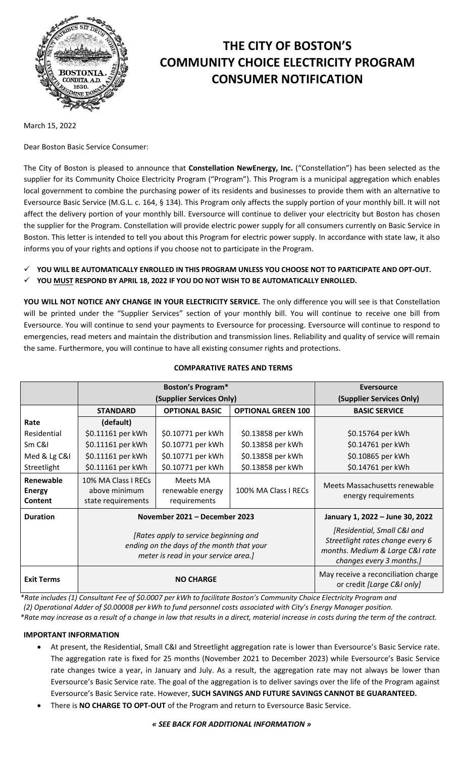

# **THE CITY OF BOSTON'S COMMUNITY CHOICE ELECTRICITY PROGRAM CONSUMER NOTIFICATION**

March 15, 2022

Dear Boston Basic Service Consumer:

The City of Boston is pleased to announce that **Constellation NewEnergy, Inc.** ("Constellation") has been selected as the supplier for its Community Choice Electricity Program ("Program"). This Program is a municipal aggregation which enables local government to combine the purchasing power of its residents and businesses to provide them with an alternative to Eversource Basic Service (M.G.L. c. 164, § 134). This Program only affects the supply portion of your monthly bill. It will not affect the delivery portion of your monthly bill. Eversource will continue to deliver your electricity but Boston has chosen the supplier for the Program. Constellation will provide electric power supply for all consumers currently on Basic Service in Boston. This letter is intended to tell you about this Program for electric power supply. In accordance with state law, it also informs you of your rights and options if you choose not to participate in the Program.

- **YOU WILL BE AUTOMATICALLY ENROLLED IN THIS PROGRAM UNLESS YOU CHOOSE NOT TO PARTICIPATE AND OPT-OUT.**
- **YOU MUST RESPOND BY APRIL 18, 2022 IF YOU DO NOT WISH TO BE AUTOMATICALLY ENROLLED.**

**YOU WILL NOT NOTICE ANY CHANGE IN YOUR ELECTRICITY SERVICE.** The only difference you will see is that Constellation will be printed under the "Supplier Services" section of your monthly bill. You will continue to receive one bill from Eversource. You will continue to send your payments to Eversource for processing. Eversource will continue to respond to emergencies, read meters and maintain the distribution and transmission lines. Reliability and quality of service will remain the same. Furthermore, you will continue to have all existing consumer rights and protections.

|                                       | <b>Boston's Program*</b>                                                                                                   |                                              |                           | <b>Eversource</b>                                                                                                              |
|---------------------------------------|----------------------------------------------------------------------------------------------------------------------------|----------------------------------------------|---------------------------|--------------------------------------------------------------------------------------------------------------------------------|
|                                       | (Supplier Services Only)                                                                                                   |                                              |                           | (Supplier Services Only)                                                                                                       |
|                                       | <b>STANDARD</b>                                                                                                            | <b>OPTIONAL BASIC</b>                        | <b>OPTIONAL GREEN 100</b> | <b>BASIC SERVICE</b>                                                                                                           |
| Rate                                  | (default)                                                                                                                  |                                              |                           |                                                                                                                                |
| Residential                           | \$0.11161 per kWh                                                                                                          | \$0.10771 per kWh                            | \$0.13858 per kWh         | \$0.15764 per kWh                                                                                                              |
| Sm C&I                                | \$0.11161 per kWh                                                                                                          | \$0.10771 per kWh                            | \$0.13858 per kWh         | \$0.14761 per kWh                                                                                                              |
| Med & Lg C&I                          | \$0.11161 per kWh                                                                                                          | \$0.10771 per kWh                            | \$0.13858 per kWh         | \$0.10865 per kWh                                                                                                              |
| Streetlight                           | \$0.11161 per kWh                                                                                                          | \$0.10771 per kWh                            | \$0.13858 per kWh         | \$0.14761 per kWh                                                                                                              |
| Renewable<br><b>Energy</b><br>Content | 10% MA Class I RECs<br>above minimum<br>state requirements                                                                 | Meets MA<br>renewable energy<br>requirements | 100% MA Class I RECs      | Meets Massachusetts renewable<br>energy requirements                                                                           |
| <b>Duration</b>                       | November 2021 - December 2023                                                                                              |                                              |                           | January 1, 2022 - June 30, 2022                                                                                                |
|                                       | [Rates apply to service beginning and<br>ending on the days of the month that your<br>meter is read in your service area.] |                                              |                           | [Residential, Small C&I and<br>Streetlight rates change every 6<br>months. Medium & Large C&I rate<br>changes every 3 months.] |
| <b>Exit Terms</b>                     | <b>NO CHARGE</b>                                                                                                           |                                              |                           | May receive a reconciliation charge<br>or credit [Large C&I only]                                                              |

#### **COMPARATIVE RATES AND TERMS**

*\*Rate includes (1) Consultant Fee of \$0.0007 per kWh to facilitate Boston's Community Choice Electricity Program and (2) Operational Adder of \$0.00008 per kWh to fund personnel costs associated with City's Energy Manager position. \*Rate may increase as a result of a change in law that results in a direct, material increase in costs during the term of the contract.*

# **IMPORTANT INFORMATION**

- At present, the Residential, Small C&I and Streetlight aggregation rate is lower than Eversource's Basic Service rate. The aggregation rate is fixed for 25 months (November 2021 to December 2023) while Eversource's Basic Service rate changes twice a year, in January and July. As a result, the aggregation rate may not always be lower than Eversource's Basic Service rate. The goal of the aggregation is to deliver savings over the life of the Program against Eversource's Basic Service rate. However, **SUCH SAVINGS AND FUTURE SAVINGS CANNOT BE GUARANTEED.**
- There is **NO CHARGE TO OPT-OUT** of the Program and return to Eversource Basic Service.